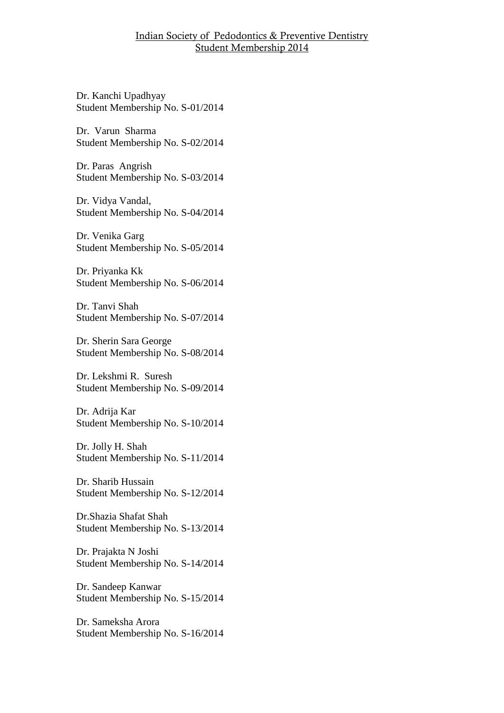Dr. Kanchi Upadhyay Student Membership No. S-01/2014

Dr. Varun Sharma Student Membership No. S-02/2014

Dr. Paras Angrish Student Membership No. S-03/2014

Dr. Vidya Vandal, Student Membership No. S-04/2014

Dr. Venika Garg Student Membership No. S-05/2014

Dr. Priyanka Kk Student Membership No. S-06/2014

Dr. Tanvi Shah Student Membership No. S-07/2014

Dr. Sherin Sara George Student Membership No. S-08/2014

Dr. Lekshmi R. Suresh Student Membership No. S-09/2014

Dr. Adrija Kar Student Membership No. S-10/2014

Dr. Jolly H. Shah Student Membership No. S-11/2014

Dr. Sharib Hussain Student Membership No. S-12/2014

Dr.Shazia Shafat Shah Student Membership No. S-13/2014

Dr. Prajakta N Joshi Student Membership No. S-14/2014

Dr. Sandeep Kanwar Student Membership No. S-15/2014

Dr. Sameksha Arora Student Membership No. S-16/2014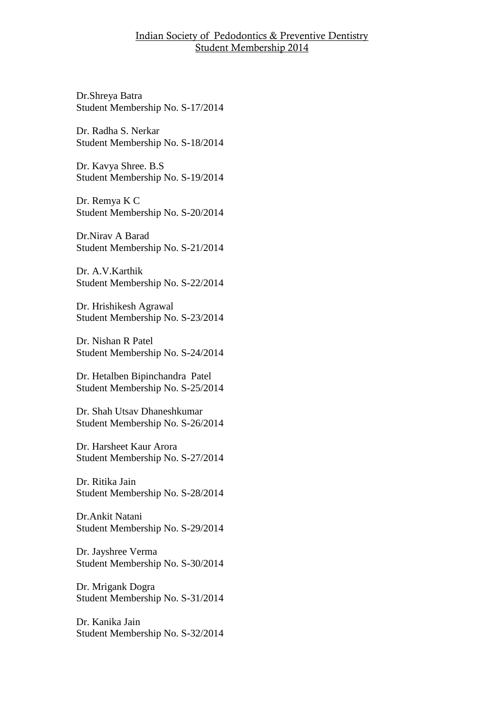Dr.Shreya Batra Student Membership No. S-17/2014

Dr. Radha S. Nerkar Student Membership No. S-18/2014

Dr. Kavya Shree. B.S Student Membership No. S-19/2014

Dr. Remya K C Student Membership No. S-20/2014

Dr.Nirav A Barad Student Membership No. S-21/2014

Dr. A.V.Karthik Student Membership No. S-22/2014

Dr. Hrishikesh Agrawal Student Membership No. S-23/2014

Dr. Nishan R Patel Student Membership No. S-24/2014

Dr. Hetalben Bipinchandra Patel Student Membership No. S-25/2014

Dr. Shah Utsav Dhaneshkumar Student Membership No. S-26/2014

Dr. Harsheet Kaur Arora Student Membership No. S-27/2014

Dr. Ritika Jain Student Membership No. S-28/2014

Dr.Ankit Natani Student Membership No. S-29/2014

Dr. Jayshree Verma Student Membership No. S-30/2014

Dr. Mrigank Dogra Student Membership No. S-31/2014

Dr. Kanika Jain Student Membership No. S-32/2014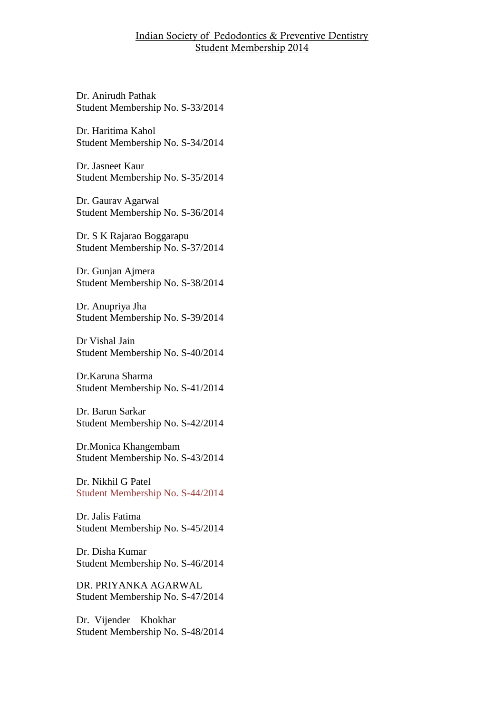Dr. Anirudh Pathak Student Membership No. S-33/2014

Dr. Haritima Kahol Student Membership No. S-34/2014

Dr. Jasneet Kaur Student Membership No. S-35/2014

Dr. Gaurav Agarwal Student Membership No. S-36/2014

Dr. S K Rajarao Boggarapu Student Membership No. S-37/2014

Dr. Gunjan Ajmera Student Membership No. S-38/2014

Dr. Anupriya Jha Student Membership No. S-39/2014

Dr Vishal Jain Student Membership No. S-40/2014

Dr.Karuna Sharma Student Membership No. S-41/2014

Dr. Barun Sarkar Student Membership No. S-42/2014

Dr.Monica Khangembam Student Membership No. S-43/2014

Dr. Nikhil G Patel Student Membership No. S-44/2014

Dr. Jalis Fatima Student Membership No. S-45/2014

Dr. Disha Kumar Student Membership No. S-46/2014

DR. PRIYANKA AGARWAL Student Membership No. S-47/2014

Dr. Vijender Khokhar Student Membership No. S-48/2014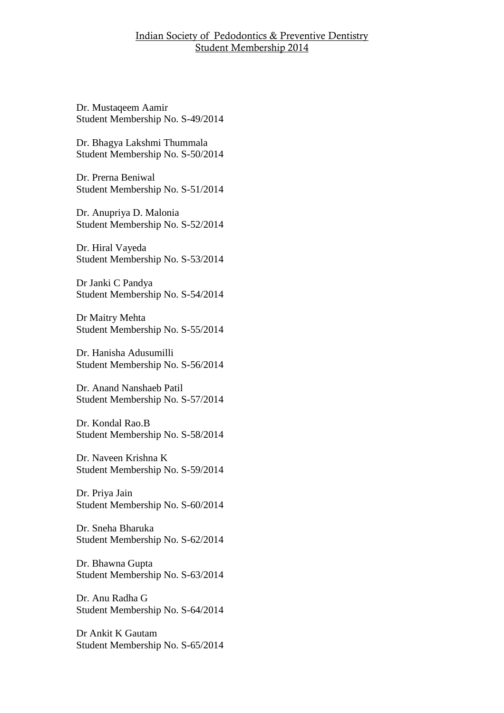Dr. Mustaqeem Aamir Student Membership No. S-49/2014

Dr. Bhagya Lakshmi Thummala Student Membership No. S-50/2014

Dr. Prerna Beniwal Student Membership No. S-51/2014

Dr. Anupriya D. Malonia Student Membership No. S-52/2014

Dr. Hiral Vayeda Student Membership No. S-53/2014

Dr Janki C Pandya Student Membership No. S-54/2014

Dr Maitry Mehta Student Membership No. S-55/2014

Dr. Hanisha Adusumilli Student Membership No. S-56/2014

Dr. Anand Nanshaeb Patil Student Membership No. S-57/2014

Dr. Kondal Rao.B Student Membership No. S-58/2014

Dr. Naveen Krishna K Student Membership No. S-59/2014

Dr. Priya Jain Student Membership No. S-60/2014

Dr. Sneha Bharuka Student Membership No. S-62/2014

Dr. Bhawna Gupta Student Membership No. S-63/2014

Dr. Anu Radha G Student Membership No. S-64/2014

Dr Ankit K Gautam Student Membership No. S-65/2014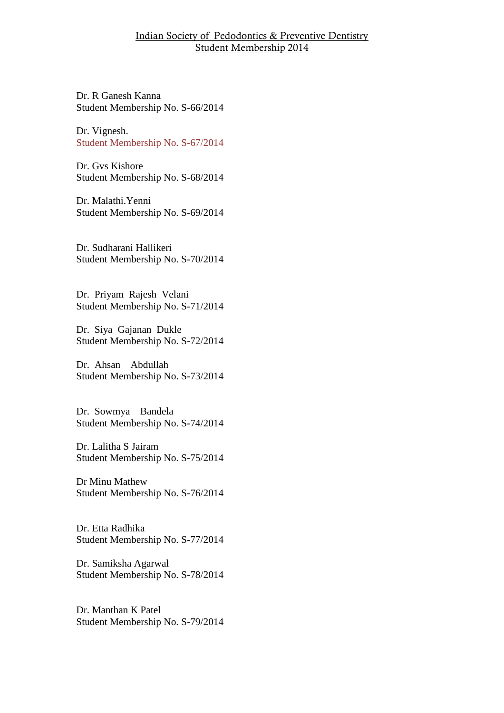Dr. R Ganesh Kanna Student Membership No. S-66/2014

Dr. Vignesh. Student Membership No. S-67/2014

Dr. Gvs Kishore Student Membership No. S-68/2014

Dr. Malathi.Yenni Student Membership No. S-69/2014

Dr. Sudharani Hallikeri Student Membership No. S-70/2014

Dr. Priyam Rajesh Velani Student Membership No. S-71/2014

Dr. Siya Gajanan Dukle Student Membership No. S-72/2014

Dr. Ahsan Abdullah Student Membership No. S-73/2014

Dr. Sowmya Bandela Student Membership No. S-74/2014

Dr. Lalitha S Jairam Student Membership No. S-75/2014

Dr Minu Mathew Student Membership No. S-76/2014

Dr. Etta Radhika Student Membership No. S-77/2014

Dr. Samiksha Agarwal Student Membership No. S-78/2014

Dr. Manthan K Patel Student Membership No. S-79/2014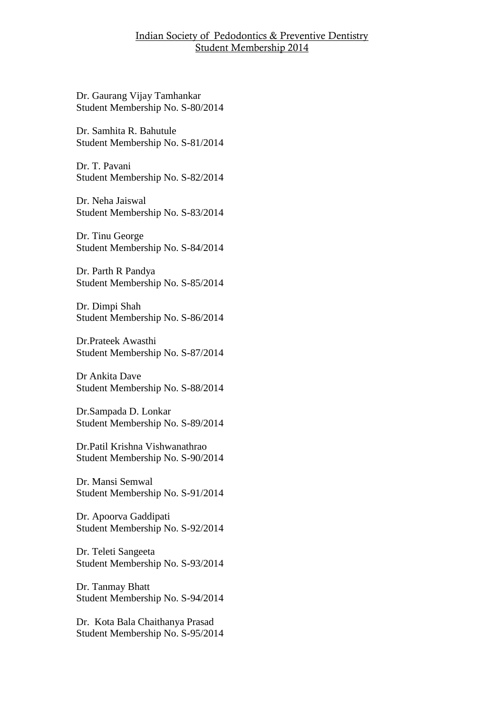Dr. Gaurang Vijay Tamhankar Student Membership No. S-80/2014

Dr. Samhita R. Bahutule Student Membership No. S-81/2014

Dr. T. Pavani Student Membership No. S-82/2014

Dr. Neha Jaiswal Student Membership No. S-83/2014

Dr. Tinu George Student Membership No. S-84/2014

Dr. Parth R Pandya Student Membership No. S-85/2014

Dr. Dimpi Shah Student Membership No. S-86/2014

Dr.Prateek Awasthi Student Membership No. S-87/2014

Dr Ankita Dave Student Membership No. S-88/2014

Dr.Sampada D. Lonkar Student Membership No. S-89/2014

Dr.Patil Krishna Vishwanathrao Student Membership No. S-90/2014

Dr. Mansi Semwal Student Membership No. S-91/2014

Dr. Apoorva Gaddipati Student Membership No. S-92/2014

Dr. Teleti Sangeeta Student Membership No. S-93/2014

Dr. Tanmay Bhatt Student Membership No. S-94/2014

Dr. Kota Bala Chaithanya Prasad Student Membership No. S-95/2014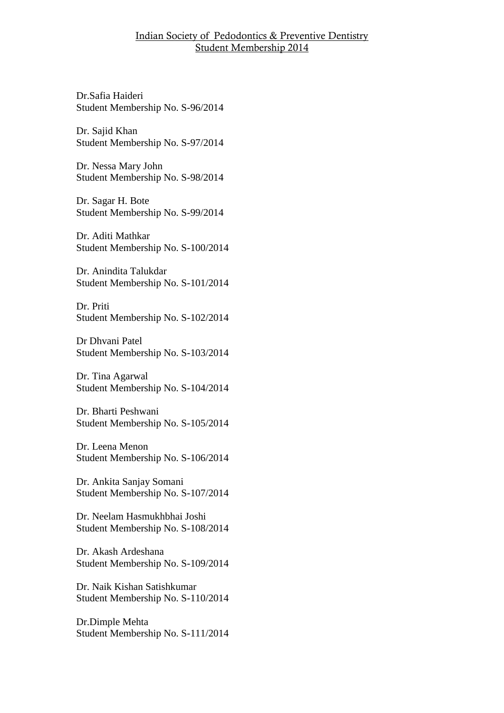Dr.Safia Haideri Student Membership No. S-96/2014

Dr. Sajid Khan Student Membership No. S-97/2014

Dr. Nessa Mary John Student Membership No. S-98/2014

Dr. Sagar H. Bote Student Membership No. S-99/2014

Dr. Aditi Mathkar Student Membership No. S-100/2014

Dr. Anindita Talukdar Student Membership No. S-101/2014

Dr. Priti Student Membership No. S-102/2014

Dr Dhvani Patel Student Membership No. S-103/2014

Dr. Tina Agarwal Student Membership No. S-104/2014

Dr. Bharti Peshwani Student Membership No. S-105/2014

Dr. Leena Menon Student Membership No. S-106/2014

Dr. Ankita Sanjay Somani Student Membership No. S-107/2014

Dr. Neelam Hasmukhbhai Joshi Student Membership No. S-108/2014

Dr. Akash Ardeshana Student Membership No. S-109/2014

Dr. Naik Kishan Satishkumar Student Membership No. S-110/2014

Dr.Dimple Mehta Student Membership No. S-111/2014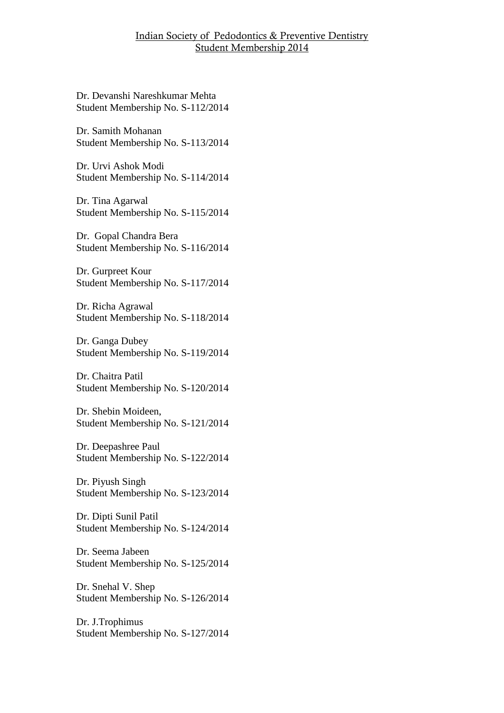Dr. Devanshi Nareshkumar Mehta Student Membership No. S-112/2014

Dr. Samith Mohanan Student Membership No. S-113/2014

Dr. Urvi Ashok Modi Student Membership No. S-114/2014

Dr. Tina Agarwal Student Membership No. S-115/2014

Dr. Gopal Chandra Bera Student Membership No. S-116/2014

Dr. Gurpreet Kour Student Membership No. S-117/2014

Dr. Richa Agrawal Student Membership No. S-118/2014

Dr. Ganga Dubey Student Membership No. S-119/2014

Dr. Chaitra Patil Student Membership No. S-120/2014

Dr. Shebin Moideen, Student Membership No. S-121/2014

Dr. Deepashree Paul Student Membership No. S-122/2014

Dr. Piyush Singh Student Membership No. S-123/2014

Dr. Dipti Sunil Patil Student Membership No. S-124/2014

Dr. Seema Jabeen Student Membership No. S-125/2014

Dr. Snehal V. Shep Student Membership No. S-126/2014

Dr. J.Trophimus Student Membership No. S-127/2014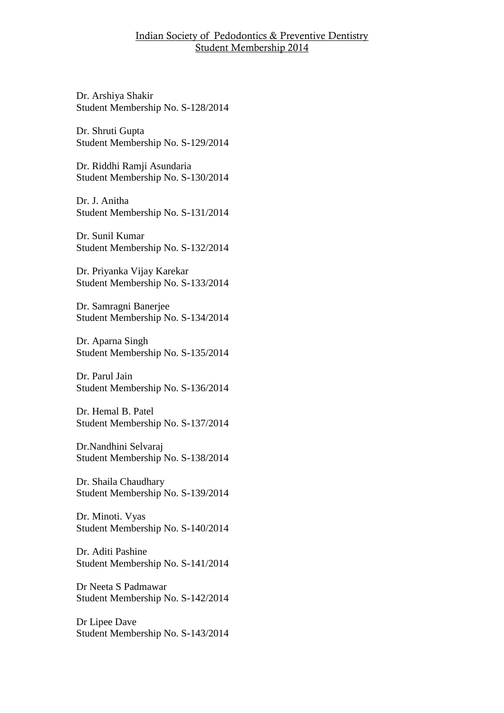Dr. Arshiya Shakir Student Membership No. S-128/2014

Dr. Shruti Gupta Student Membership No. S-129/2014

Dr. Riddhi Ramji Asundaria Student Membership No. S-130/2014

Dr. J. Anitha Student Membership No. S-131/2014

Dr. Sunil Kumar Student Membership No. S-132/2014

Dr. Priyanka Vijay Karekar Student Membership No. S-133/2014

Dr. Samragni Banerjee Student Membership No. S-134/2014

Dr. Aparna Singh Student Membership No. S-135/2014

Dr. Parul Jain Student Membership No. S-136/2014

Dr. Hemal B. Patel Student Membership No. S-137/2014

Dr.Nandhini Selvaraj Student Membership No. S-138/2014

Dr. Shaila Chaudhary Student Membership No. S-139/2014

Dr. Minoti. Vyas Student Membership No. S-140/2014

Dr. Aditi Pashine Student Membership No. S-141/2014

Dr Neeta S Padmawar Student Membership No. S-142/2014

Dr Lipee Dave Student Membership No. S-143/2014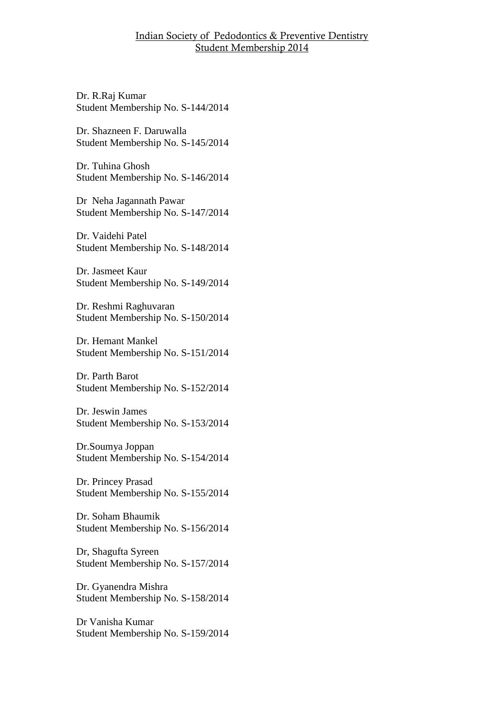Dr. R.Raj Kumar Student Membership No. S-144/2014

Dr. Shazneen F. Daruwalla Student Membership No. S-145/2014

Dr. Tuhina Ghosh Student Membership No. S-146/2014

Dr Neha Jagannath Pawar Student Membership No. S-147/2014

Dr. Vaidehi Patel Student Membership No. S-148/2014

Dr. Jasmeet Kaur Student Membership No. S-149/2014

Dr. Reshmi Raghuvaran Student Membership No. S-150/2014

Dr. Hemant Mankel Student Membership No. S-151/2014

Dr. Parth Barot Student Membership No. S-152/2014

Dr. Jeswin James Student Membership No. S-153/2014

Dr.Soumya Joppan Student Membership No. S-154/2014

Dr. Princey Prasad Student Membership No. S-155/2014

Dr. Soham Bhaumik Student Membership No. S-156/2014

Dr, Shagufta Syreen Student Membership No. S-157/2014

Dr. Gyanendra Mishra Student Membership No. S-158/2014

Dr Vanisha Kumar Student Membership No. S-159/2014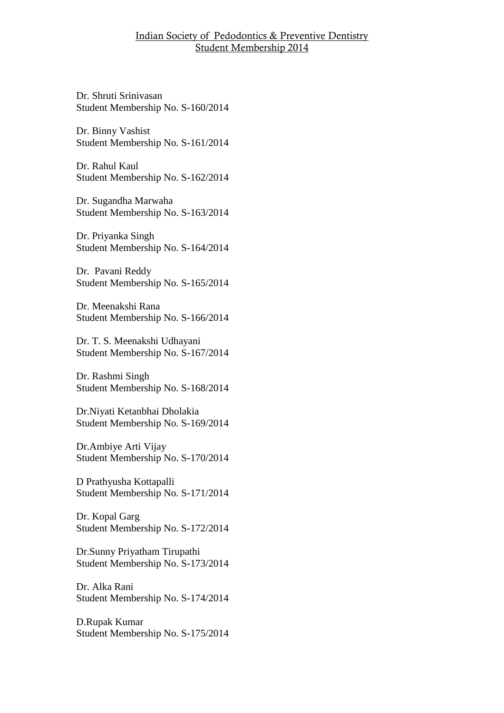Dr. Shruti Srinivasan Student Membership No. S-160/2014

Dr. Binny Vashist Student Membership No. S-161/2014

Dr. Rahul Kaul Student Membership No. S-162/2014

Dr. Sugandha Marwaha Student Membership No. S-163/2014

Dr. Priyanka Singh Student Membership No. S-164/2014

Dr. Pavani Reddy Student Membership No. S-165/2014

Dr. Meenakshi Rana Student Membership No. S-166/2014

Dr. T. S. Meenakshi Udhayani Student Membership No. S-167/2014

Dr. Rashmi Singh Student Membership No. S-168/2014

Dr.Niyati Ketanbhai Dholakia Student Membership No. S-169/2014

Dr.Ambiye Arti Vijay Student Membership No. S-170/2014

D Prathyusha Kottapalli Student Membership No. S-171/2014

Dr. Kopal Garg Student Membership No. S-172/2014

Dr.Sunny Priyatham Tirupathi Student Membership No. S-173/2014

Dr. Alka Rani Student Membership No. S-174/2014

D.Rupak Kumar Student Membership No. S-175/2014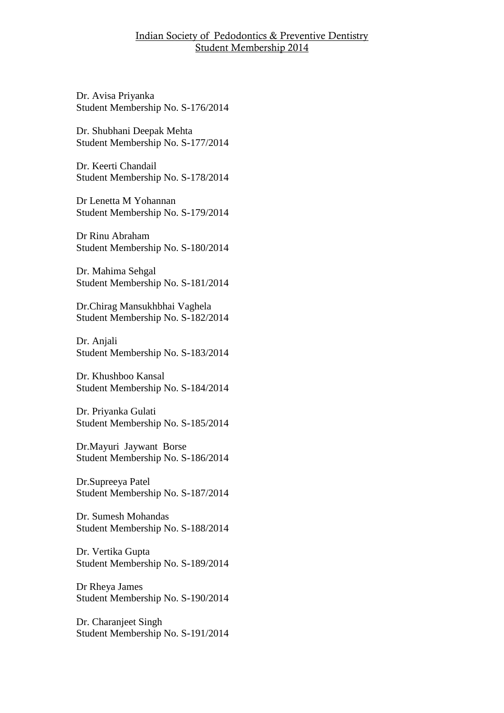Dr. Avisa Priyanka Student Membership No. S-176/2014

Dr. Shubhani Deepak Mehta Student Membership No. S-177/2014

Dr. Keerti Chandail Student Membership No. S-178/2014

Dr Lenetta M Yohannan Student Membership No. S-179/2014

Dr Rinu Abraham Student Membership No. S-180/2014

Dr. Mahima Sehgal Student Membership No. S-181/2014

Dr.Chirag Mansukhbhai Vaghela Student Membership No. S-182/2014

Dr. Anjali Student Membership No. S-183/2014

Dr. Khushboo Kansal Student Membership No. S-184/2014

Dr. Priyanka Gulati Student Membership No. S-185/2014

Dr.Mayuri Jaywant Borse Student Membership No. S-186/2014

Dr.Supreeya Patel Student Membership No. S-187/2014

Dr. Sumesh Mohandas Student Membership No. S-188/2014

Dr. Vertika Gupta Student Membership No. S-189/2014

Dr Rheya James Student Membership No. S-190/2014

Dr. Charanjeet Singh Student Membership No. S-191/2014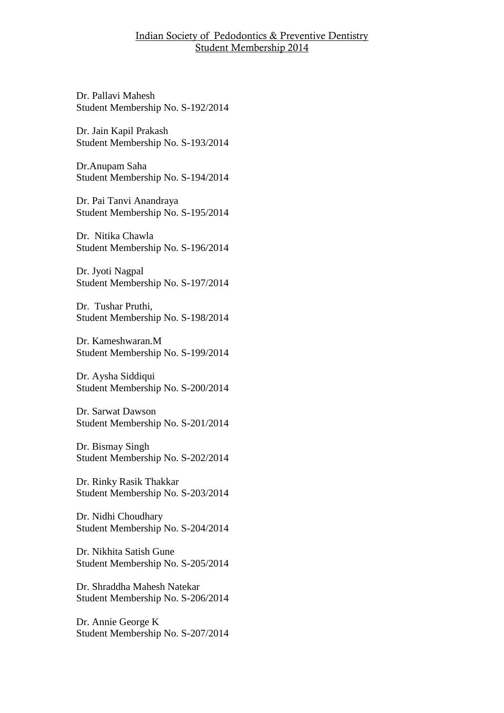Dr. Pallavi Mahesh Student Membership No. S-192/2014

Dr. Jain Kapil Prakash Student Membership No. S-193/2014

Dr.Anupam Saha Student Membership No. S-194/2014

Dr. Pai Tanvi Anandraya Student Membership No. S-195/2014

Dr. Nitika Chawla Student Membership No. S-196/2014

Dr. Jyoti Nagpal Student Membership No. S-197/2014

Dr. Tushar Pruthi, Student Membership No. S-198/2014

Dr. Kameshwaran.M Student Membership No. S-199/2014

Dr. Aysha Siddiqui Student Membership No. S-200/2014

Dr. Sarwat Dawson Student Membership No. S-201/2014

Dr. Bismay Singh Student Membership No. S-202/2014

Dr. Rinky Rasik Thakkar Student Membership No. S-203/2014

Dr. Nidhi Choudhary Student Membership No. S-204/2014

Dr. Nikhita Satish Gune Student Membership No. S-205/2014

Dr. Shraddha Mahesh Natekar Student Membership No. S-206/2014

Dr. Annie George K Student Membership No. S-207/2014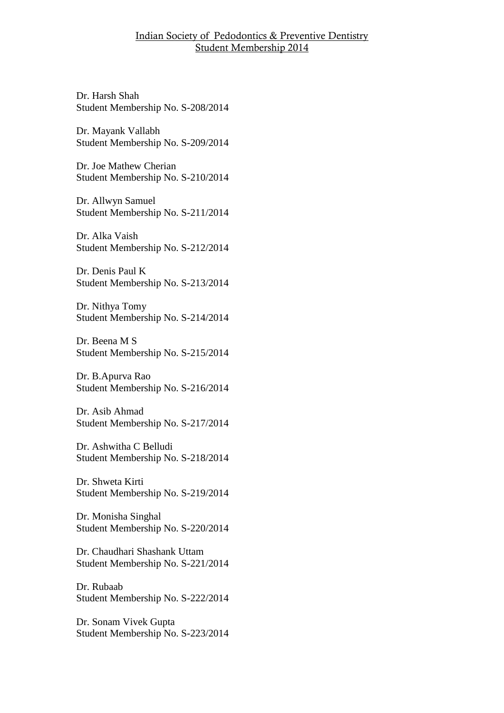Dr. Harsh Shah Student Membership No. S-208/2014

Dr. Mayank Vallabh Student Membership No. S-209/2014

Dr. Joe Mathew Cherian Student Membership No. S-210/2014

Dr. Allwyn Samuel Student Membership No. S-211/2014

Dr. Alka Vaish Student Membership No. S-212/2014

Dr. Denis Paul K Student Membership No. S-213/2014

Dr. Nithya Tomy Student Membership No. S-214/2014

Dr. Beena M S Student Membership No. S-215/2014

Dr. B.Apurva Rao Student Membership No. S-216/2014

Dr. Asib Ahmad Student Membership No. S-217/2014

Dr. Ashwitha C Belludi Student Membership No. S-218/2014

Dr. Shweta Kirti Student Membership No. S-219/2014

Dr. Monisha Singhal Student Membership No. S-220/2014

Dr. Chaudhari Shashank Uttam Student Membership No. S-221/2014

Dr. Rubaab Student Membership No. S-222/2014

Dr. Sonam Vivek Gupta Student Membership No. S-223/2014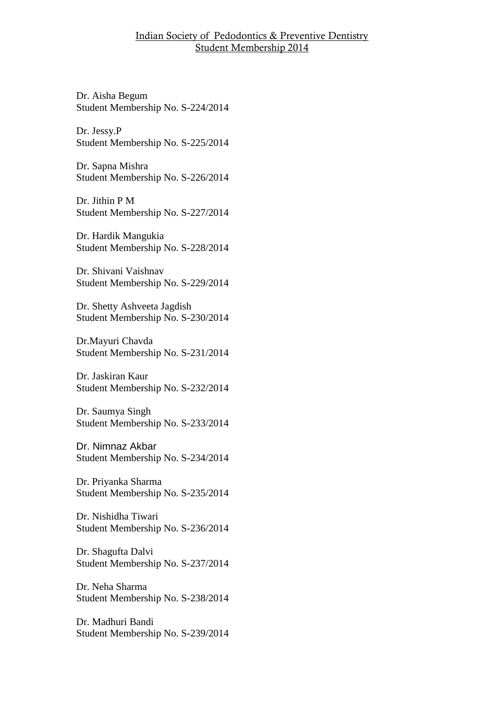Dr. Aisha Begum Student Membership No. S-224/2014

Dr. Jessy.P Student Membership No. S-225/2014

Dr. Sapna Mishra Student Membership No. S-226/2014

Dr. Jithin P M Student Membership No. S-227/2014

Dr. Hardik Mangukia Student Membership No. S-228/2014

Dr. Shivani Vaishnav Student Membership No. S-229/2014

Dr. Shetty Ashveeta Jagdish Student Membership No. S-230/2014

Dr.Mayuri Chavda Student Membership No. S-231/2014

Dr. Jaskiran Kaur Student Membership No. S-232/2014

Dr. Saumya Singh Student Membership No. S-233/2014

Dr. Nimnaz Akbar Student Membership No. S-234/2014

Dr. Priyanka Sharma Student Membership No. S-235/2014

Dr. Nishidha Tiwari Student Membership No. S-236/2014

Dr. Shagufta Dalvi Student Membership No. S-237/2014

Dr. Neha Sharma Student Membership No. S-238/2014

Dr. Madhuri Bandi Student Membership No. S-239/2014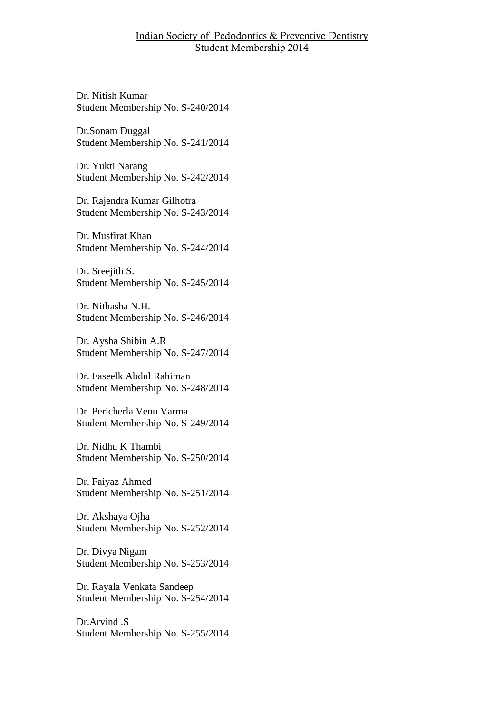Dr. Nitish Kumar Student Membership No. S-240/2014

Dr.Sonam Duggal Student Membership No. S-241/2014

Dr. Yukti Narang Student Membership No. S-242/2014

Dr. Rajendra Kumar Gilhotra Student Membership No. S-243/2014

Dr. Musfirat Khan Student Membership No. S-244/2014

Dr. Sreejith S. Student Membership No. S-245/2014

Dr. Nithasha N.H. Student Membership No. S-246/2014

Dr. Aysha Shibin A.R Student Membership No. S-247/2014

Dr. Faseelk Abdul Rahiman Student Membership No. S-248/2014

Dr. Pericherla Venu Varma Student Membership No. S-249/2014

Dr. Nidhu K Thambi Student Membership No. S-250/2014

Dr. Faiyaz Ahmed Student Membership No. S-251/2014

Dr. Akshaya Ojha Student Membership No. S-252/2014

Dr. Divya Nigam Student Membership No. S-253/2014

Dr. Rayala Venkata Sandeep Student Membership No. S-254/2014

Dr.Arvind .S Student Membership No. S-255/2014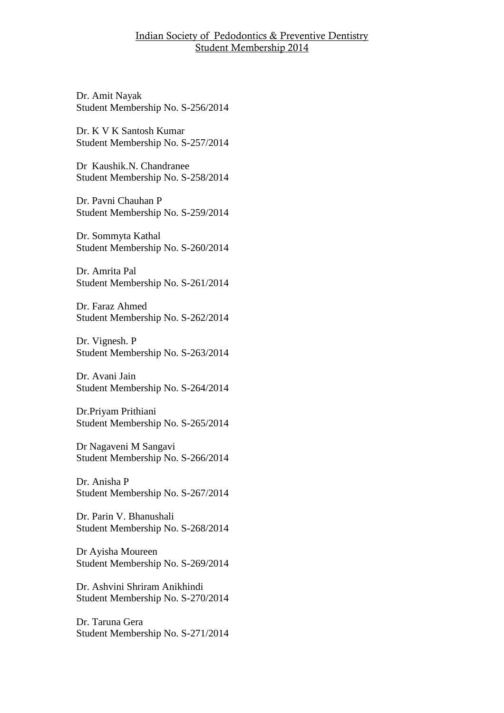Dr. Amit Nayak Student Membership No. S-256/2014

Dr. K V K Santosh Kumar Student Membership No. S-257/2014

Dr Kaushik.N. Chandranee Student Membership No. S-258/2014

Dr. Pavni Chauhan P Student Membership No. S-259/2014

Dr. Sommyta Kathal Student Membership No. S-260/2014

Dr. Amrita Pal Student Membership No. S-261/2014

Dr. Faraz Ahmed Student Membership No. S-262/2014

Dr. Vignesh. P Student Membership No. S-263/2014

Dr. Avani Jain Student Membership No. S-264/2014

Dr.Priyam Prithiani Student Membership No. S-265/2014

Dr Nagaveni M Sangavi Student Membership No. S-266/2014

Dr. Anisha P Student Membership No. S-267/2014

Dr. Parin V. Bhanushali Student Membership No. S-268/2014

Dr Ayisha Moureen Student Membership No. S-269/2014

Dr. Ashvini Shriram Anikhindi Student Membership No. S-270/2014

Dr. Taruna Gera Student Membership No. S-271/2014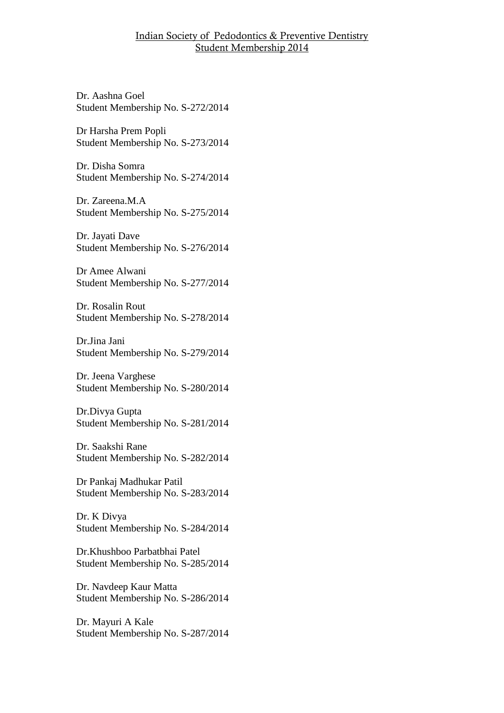Dr. Aashna Goel Student Membership No. S-272/2014

Dr Harsha Prem Popli Student Membership No. S-273/2014

Dr. Disha Somra Student Membership No. S-274/2014

Dr. Zareena.M.A Student Membership No. S-275/2014

Dr. Jayati Dave Student Membership No. S-276/2014

Dr Amee Alwani Student Membership No. S-277/2014

Dr. Rosalin Rout Student Membership No. S-278/2014

Dr.Jina Jani Student Membership No. S-279/2014

Dr. Jeena Varghese Student Membership No. S-280/2014

Dr.Divya Gupta Student Membership No. S-281/2014

Dr. Saakshi Rane Student Membership No. S-282/2014

Dr Pankaj Madhukar Patil Student Membership No. S-283/2014

Dr. K Divya Student Membership No. S-284/2014

Dr.Khushboo Parbatbhai Patel Student Membership No. S-285/2014

Dr. Navdeep Kaur Matta Student Membership No. S-286/2014

Dr. Mayuri A Kale Student Membership No. S-287/2014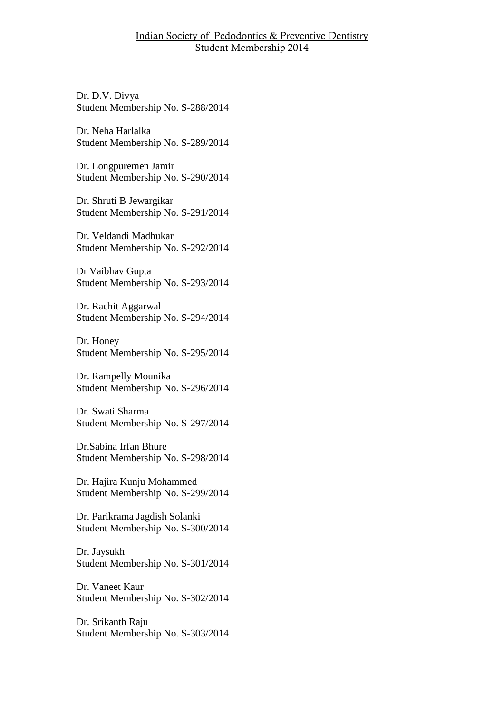Dr. D.V. Divya Student Membership No. S-288/2014

Dr. Neha Harlalka Student Membership No. S-289/2014

Dr. Longpuremen Jamir Student Membership No. S-290/2014

Dr. Shruti B Jewargikar Student Membership No. S-291/2014

Dr. Veldandi Madhukar Student Membership No. S-292/2014

Dr Vaibhav Gupta Student Membership No. S-293/2014

Dr. Rachit Aggarwal Student Membership No. S-294/2014

Dr. Honey Student Membership No. S-295/2014

Dr. Rampelly Mounika Student Membership No. S-296/2014

Dr. Swati Sharma Student Membership No. S-297/2014

Dr.Sabina Irfan Bhure Student Membership No. S-298/2014

Dr. Hajira Kunju Mohammed Student Membership No. S-299/2014

Dr. Parikrama Jagdish Solanki Student Membership No. S-300/2014

Dr. Jaysukh Student Membership No. S-301/2014

Dr. Vaneet Kaur Student Membership No. S-302/2014

Dr. Srikanth Raju Student Membership No. S-303/2014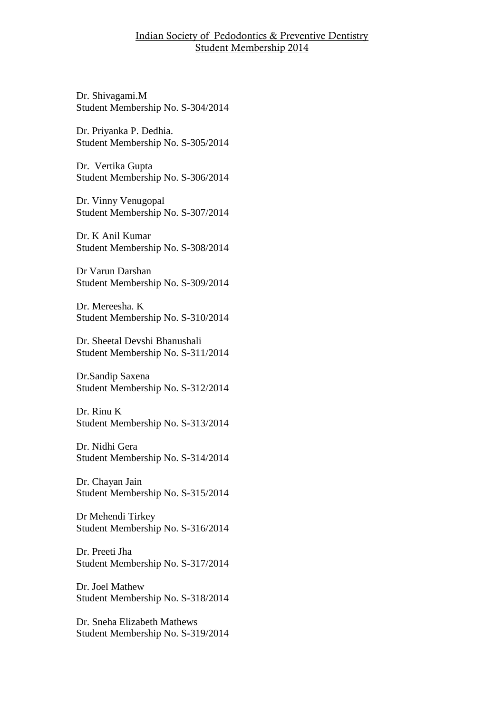Dr. Shivagami.M Student Membership No. S-304/2014

Dr. Priyanka P. Dedhia. Student Membership No. S-305/2014

Dr. Vertika Gupta Student Membership No. S-306/2014

Dr. Vinny Venugopal Student Membership No. S-307/2014

Dr. K Anil Kumar Student Membership No. S-308/2014

Dr Varun Darshan Student Membership No. S-309/2014

Dr. Mereesha. K Student Membership No. S-310/2014

Dr. Sheetal Devshi Bhanushali Student Membership No. S-311/2014

Dr.Sandip Saxena Student Membership No. S-312/2014

Dr. Rinu K Student Membership No. S-313/2014

Dr. Nidhi Gera Student Membership No. S-314/2014

Dr. Chayan Jain Student Membership No. S-315/2014

Dr Mehendi Tirkey Student Membership No. S-316/2014

Dr. Preeti Jha Student Membership No. S-317/2014

Dr. Joel Mathew Student Membership No. S-318/2014

Dr. Sneha Elizabeth Mathews Student Membership No. S-319/2014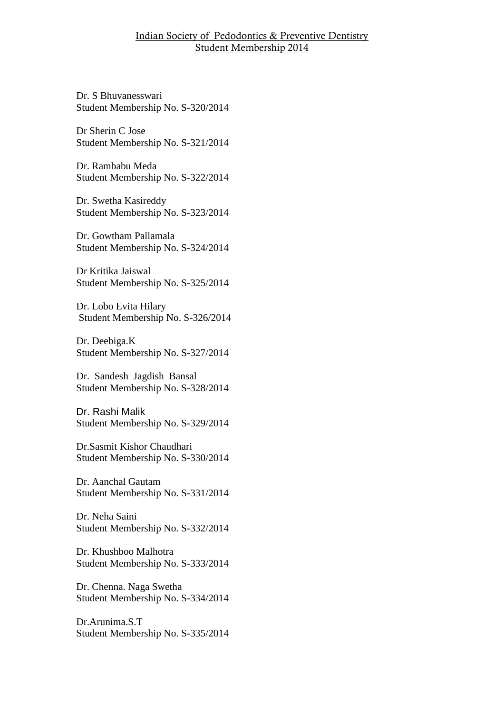Dr. S Bhuvanesswari Student Membership No. S-320/2014

Dr Sherin C Jose Student Membership No. S-321/2014

Dr. Rambabu Meda Student Membership No. S-322/2014

Dr. Swetha Kasireddy Student Membership No. S-323/2014

Dr. Gowtham Pallamala Student Membership No. S-324/2014

Dr Kritika Jaiswal Student Membership No. S-325/2014

Dr. Lobo Evita Hilary Student Membership No. S-326/2014

Dr. Deebiga.K Student Membership No. S-327/2014

Dr. Sandesh Jagdish Bansal Student Membership No. S-328/2014

Dr. Rashi Malik Student Membership No. S-329/2014

Dr.Sasmit Kishor Chaudhari Student Membership No. S-330/2014

Dr. Aanchal Gautam Student Membership No. S-331/2014

Dr. Neha Saini Student Membership No. S-332/2014

Dr. Khushboo Malhotra Student Membership No. S-333/2014

Dr. Chenna. Naga Swetha Student Membership No. S-334/2014

Dr.Arunima.S.T Student Membership No. S-335/2014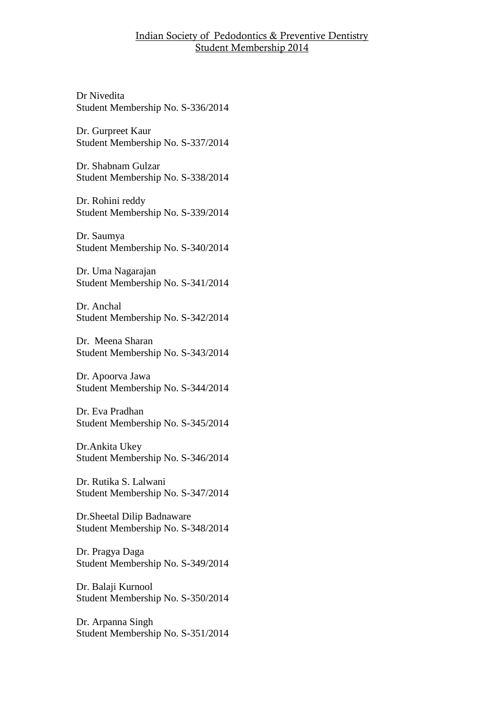Dr Nivedita Student Membership No. S-336/2014

Dr. Gurpreet Kaur Student Membership No. S-337/2014

Dr. Shabnam Gulzar Student Membership No. S-338/2014

Dr. Rohini reddy Student Membership No. S-339/2014

Dr. Saumya Student Membership No. S-340/2014

Dr. Uma Nagarajan Student Membership No. S-341/2014

Dr. Anchal Student Membership No. S-342/2014

Dr. Meena Sharan Student Membership No. S-343/2014

Dr. Apoorva Jawa Student Membership No. S-344/2014

Dr. Eva Pradhan Student Membership No. S-345/2014

Dr.Ankita Ukey Student Membership No. S-346/2014

Dr. Rutika S. Lalwani Student Membership No. S-347/2014

Dr.Sheetal Dilip Badnaware Student Membership No. S-348/2014

Dr. Pragya Daga Student Membership No. S-349/2014

Dr. Balaji Kurnool Student Membership No. S-350/2014

Dr. Arpanna Singh Student Membership No. S-351/2014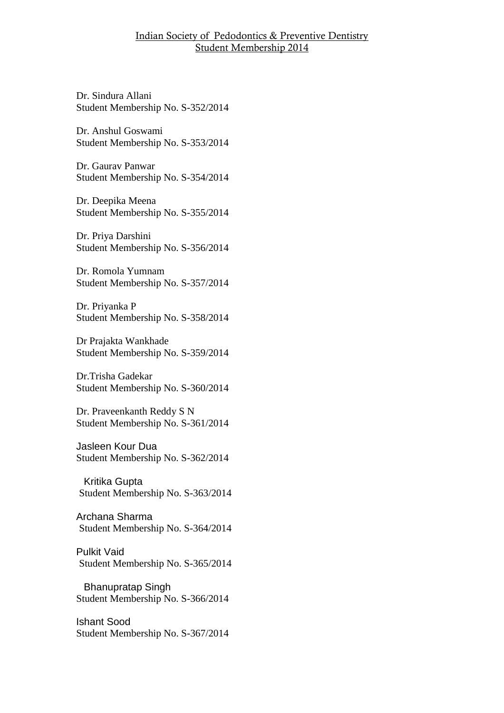Dr. Sindura Allani Student Membership No. S-352/2014

Dr. Anshul Goswami Student Membership No. S-353/2014

Dr. Gaurav Panwar Student Membership No. S-354/2014

Dr. Deepika Meena Student Membership No. S-355/2014

Dr. Priya Darshini Student Membership No. S-356/2014

Dr. Romola Yumnam Student Membership No. S-357/2014

Dr. Priyanka P Student Membership No. S-358/2014

Dr Prajakta Wankhade Student Membership No. S-359/2014

Dr.Trisha Gadekar Student Membership No. S-360/2014

Dr. Praveenkanth Reddy S N Student Membership No. S-361/2014

Jasleen Kour Dua Student Membership No. S-362/2014

Kritika Gupta Student Membership No. S-363/2014

Archana Sharma Student Membership No. S-364/2014

Pulkit Vaid Student Membership No. S-365/2014

Bhanupratap Singh Student Membership No. S-366/2014

Ishant Sood Student Membership No. S-367/2014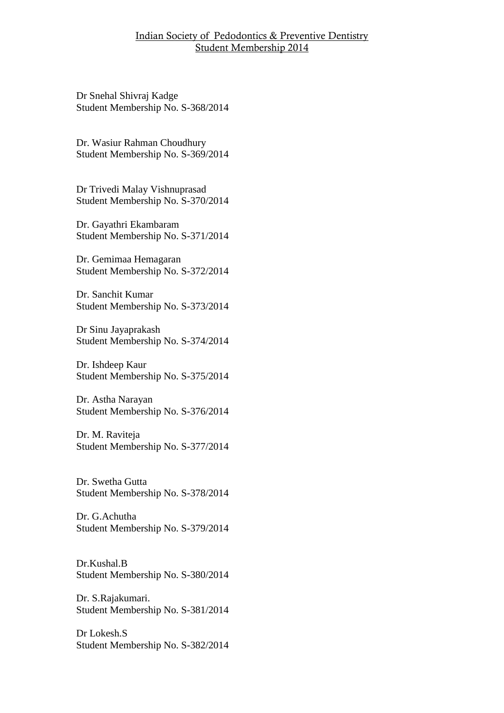Dr Snehal Shivraj Kadge Student Membership No. S-368/2014

Dr. Wasiur Rahman Choudhury Student Membership No. S-369/2014

Dr Trivedi Malay Vishnuprasad Student Membership No. S-370/2014

Dr. Gayathri Ekambaram Student Membership No. S-371/2014

Dr. Gemimaa Hemagaran Student Membership No. S-372/2014

Dr. Sanchit Kumar Student Membership No. S-373/2014

Dr Sinu Jayaprakash Student Membership No. S-374/2014

Dr. Ishdeep Kaur Student Membership No. S-375/2014

Dr. Astha Narayan Student Membership No. S-376/2014

Dr. M. Raviteja Student Membership No. S-377/2014

Dr. Swetha Gutta Student Membership No. S-378/2014

Dr. G.Achutha Student Membership No. S-379/2014

Dr.Kushal.B Student Membership No. S-380/2014

Dr. S.Rajakumari. Student Membership No. S-381/2014

Dr Lokesh.S Student Membership No. S-382/2014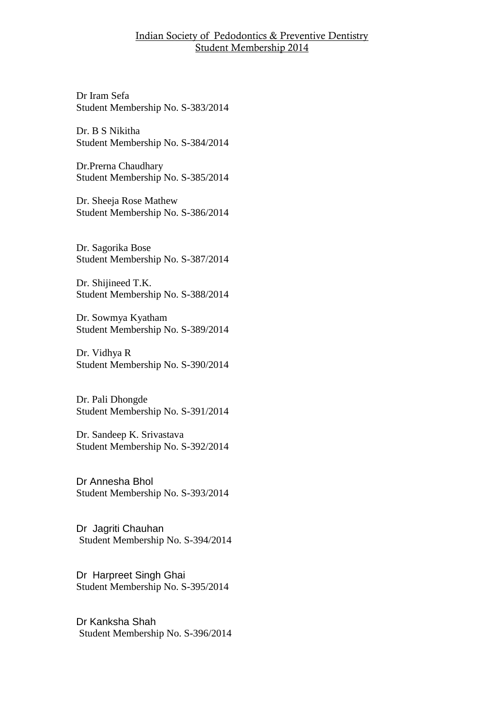Dr Iram Sefa Student Membership No. S-383/2014

Dr. B S Nikitha Student Membership No. S-384/2014

Dr.Prerna Chaudhary Student Membership No. S-385/2014

Dr. Sheeja Rose Mathew Student Membership No. S-386/2014

Dr. Sagorika Bose Student Membership No. S-387/2014

Dr. Shijineed T.K. Student Membership No. S-388/2014

Dr. Sowmya Kyatham Student Membership No. S-389/2014

Dr. Vidhya R Student Membership No. S-390/2014

Dr. Pali Dhongde Student Membership No. S-391/2014

Dr. Sandeep K. Srivastava Student Membership No. S-392/2014

Dr Annesha Bhol Student Membership No. S-393/2014

Dr Jagriti Chauhan Student Membership No. S-394/2014

Dr Harpreet Singh Ghai Student Membership No. S-395/2014

Dr Kanksha Shah Student Membership No. S-396/2014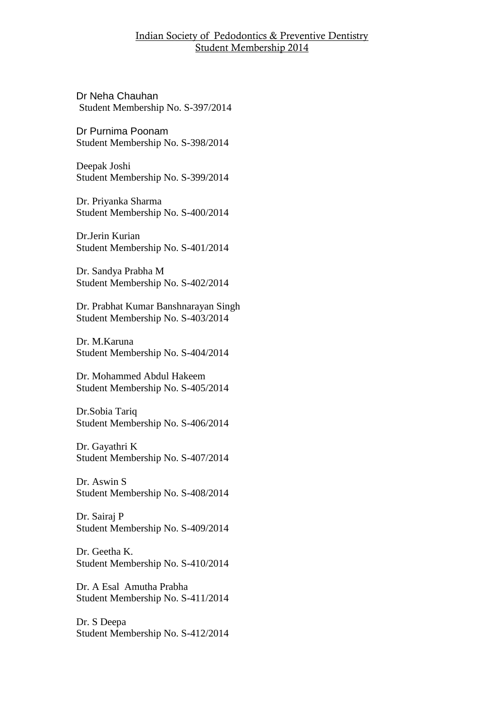Dr Neha Chauhan Student Membership No. S-397/2014

Dr Purnima Poonam Student Membership No. S-398/2014

Deepak Joshi Student Membership No. S-399/2014

Dr. Priyanka Sharma Student Membership No. S-400/2014

Dr.Jerin Kurian Student Membership No. S-401/2014

Dr. Sandya Prabha M Student Membership No. S-402/2014

Dr. Prabhat Kumar Banshnarayan Singh Student Membership No. S-403/2014

Dr. M.Karuna Student Membership No. S-404/2014

Dr. Mohammed Abdul Hakeem Student Membership No. S-405/2014

Dr.Sobia Tariq Student Membership No. S-406/2014

Dr. Gayathri K Student Membership No. S-407/2014

Dr. Aswin S Student Membership No. S-408/2014

Dr. Sairaj P Student Membership No. S-409/2014

Dr. Geetha K. Student Membership No. S-410/2014

Dr. A Esal Amutha Prabha Student Membership No. S-411/2014

Dr. S Deepa Student Membership No. S-412/2014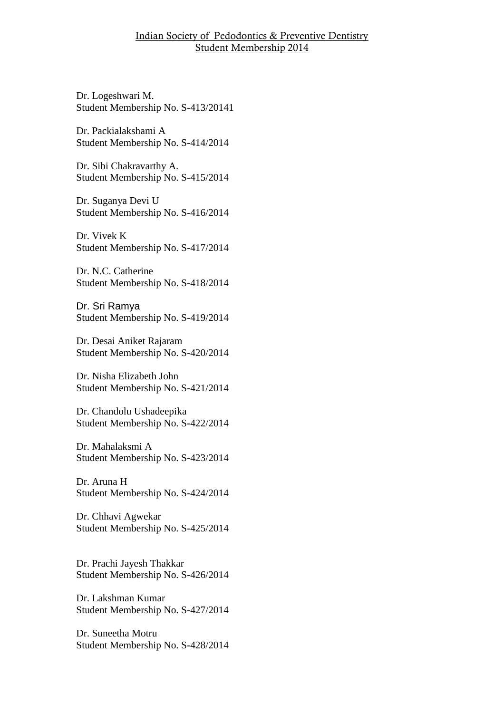Dr. Logeshwari M. Student Membership No. S-413/20141

Dr. Packialakshami A Student Membership No. S-414/2014

Dr. Sibi Chakravarthy A. Student Membership No. S-415/2014

Dr. Suganya Devi U Student Membership No. S-416/2014

Dr. Vivek K Student Membership No. S-417/2014

Dr. N.C. Catherine Student Membership No. S-418/2014

Dr. Sri Ramya Student Membership No. S-419/2014

Dr. Desai Aniket Rajaram Student Membership No. S-420/2014

Dr. Nisha Elizabeth John Student Membership No. S-421/2014

Dr. Chandolu Ushadeepika Student Membership No. S-422/2014

Dr. Mahalaksmi A Student Membership No. S-423/2014

Dr. Aruna H Student Membership No. S-424/2014

Dr. Chhavi Agwekar Student Membership No. S-425/2014

Dr. Prachi Jayesh Thakkar Student Membership No. S-426/2014

Dr. Lakshman Kumar Student Membership No. S-427/2014

Dr. Suneetha Motru Student Membership No. S-428/2014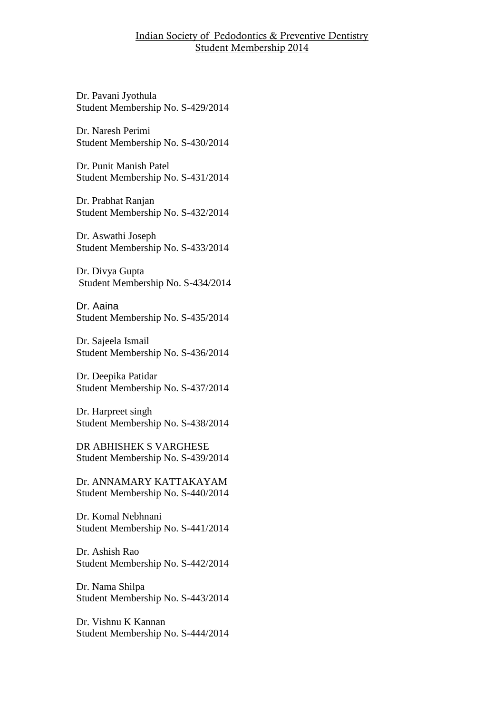Dr. Pavani Jyothula Student Membership No. S-429/2014

Dr. Naresh Perimi Student Membership No. S-430/2014

Dr. Punit Manish Patel Student Membership No. S-431/2014

Dr. Prabhat Ranjan Student Membership No. S-432/2014

Dr. Aswathi Joseph Student Membership No. S-433/2014

Dr. Divya Gupta Student Membership No. S-434/2014

Dr. Aaina Student Membership No. S-435/2014

Dr. Sajeela Ismail Student Membership No. S-436/2014

Dr. Deepika Patidar Student Membership No. S-437/2014

Dr. Harpreet singh Student Membership No. S-438/2014

DR ABHISHEK S VARGHESE Student Membership No. S-439/2014

Dr. ANNAMARY KATTAKAYAM Student Membership No. S-440/2014

Dr. Komal Nebhnani Student Membership No. S-441/2014

Dr. Ashish Rao Student Membership No. S-442/2014

Dr. Nama Shilpa Student Membership No. S-443/2014

Dr. Vishnu K Kannan Student Membership No. S-444/2014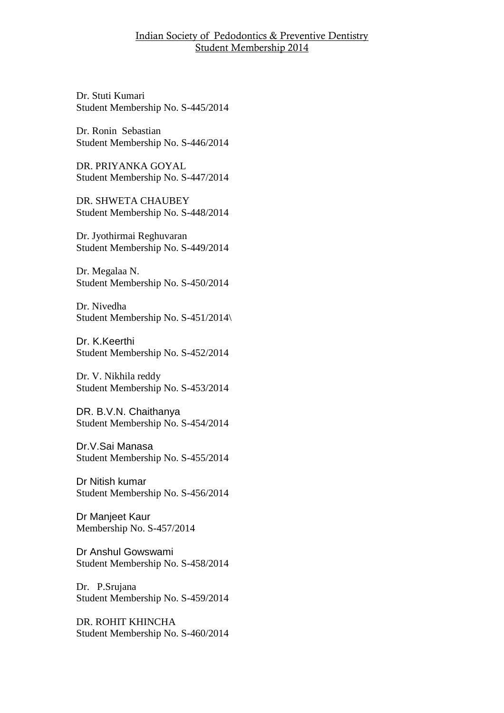Dr. Stuti Kumari Student Membership No. S-445/2014

Dr. Ronin Sebastian Student Membership No. S-446/2014

DR. PRIYANKA GOYAL Student Membership No. S-447/2014

DR. SHWETA CHAUBEY Student Membership No. S-448/2014

Dr. Jyothirmai Reghuvaran Student Membership No. S-449/2014

Dr. Megalaa N. Student Membership No. S-450/2014

Dr. Nivedha Student Membership No. S-451/2014\

Dr. K.Keerthi Student Membership No. S-452/2014

Dr. V. Nikhila reddy Student Membership No. S-453/2014

DR. B.V.N. Chaithanya Student Membership No. S-454/2014

Dr.V.Sai Manasa Student Membership No. S-455/2014

Dr Nitish kumar Student Membership No. S-456/2014

Dr Manjeet Kaur Membership No. S-457/2014

Dr Anshul Gowswami Student Membership No. S-458/2014

Dr. P.Srujana Student Membership No. S-459/2014

DR. ROHIT KHINCHA Student Membership No. S-460/2014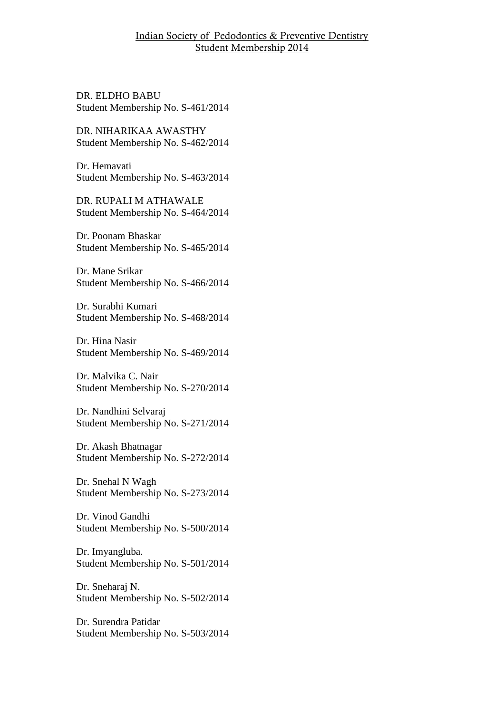DR. ELDHO BABU Student Membership No. S-461/2014

DR. NIHARIKAA AWASTHY Student Membership No. S-462/2014

Dr. Hemavati Student Membership No. S-463/2014

DR. RUPALI M ATHAWALE Student Membership No. S-464/2014

Dr. Poonam Bhaskar Student Membership No. S-465/2014

Dr. Mane Srikar Student Membership No. S-466/2014

Dr. Surabhi Kumari Student Membership No. S-468/2014

Dr. Hina Nasir Student Membership No. S-469/2014

Dr. Malvika C. Nair Student Membership No. S-270/2014

Dr. Nandhini Selvaraj Student Membership No. S-271/2014

Dr. Akash Bhatnagar Student Membership No. S-272/2014

Dr. Snehal N Wagh Student Membership No. S-273/2014

Dr. Vinod Gandhi Student Membership No. S-500/2014

Dr. Imyangluba. Student Membership No. S-501/2014

Dr. Sneharaj N. Student Membership No. S-502/2014

Dr. Surendra Patidar Student Membership No. S-503/2014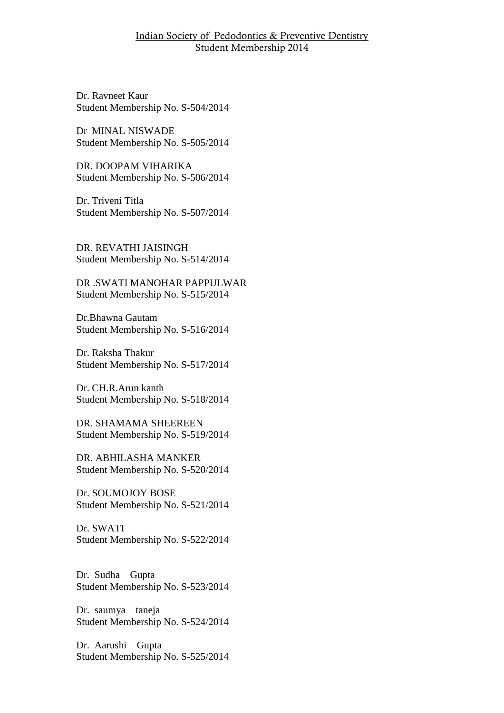Dr. Ravneet Kaur Student Membership No. S-504/2014

Dr MINAL NISWADE Student Membership No. S-505/2014

DR. DOOPAM VIHARIKA Student Membership No. S-506/2014

Dr. Triveni Titla Student Membership No. S-507/2014

DR. REVATHI JAISINGH Student Membership No. S-514/2014

DR .SWATI MANOHAR PAPPULWAR Student Membership No. S-515/2014

Dr.Bhawna Gautam Student Membership No. S-516/2014

Dr. Raksha Thakur Student Membership No. S-517/2014

Dr. CH.R.Arun kanth Student Membership No. S-518/2014

DR. SHAMAMA SHEEREEN Student Membership No. S-519/2014

DR. ABHILASHA MANKER Student Membership No. S-520/2014

Dr. SOUMOJOY BOSE Student Membership No. S-521/2014

Dr. SWATI Student Membership No. S-522/2014

Dr. Sudha Gupta Student Membership No. S-523/2014

Dr. saumya taneja Student Membership No. S-524/2014

Dr. Aarushi Gupta Student Membership No. S-525/2014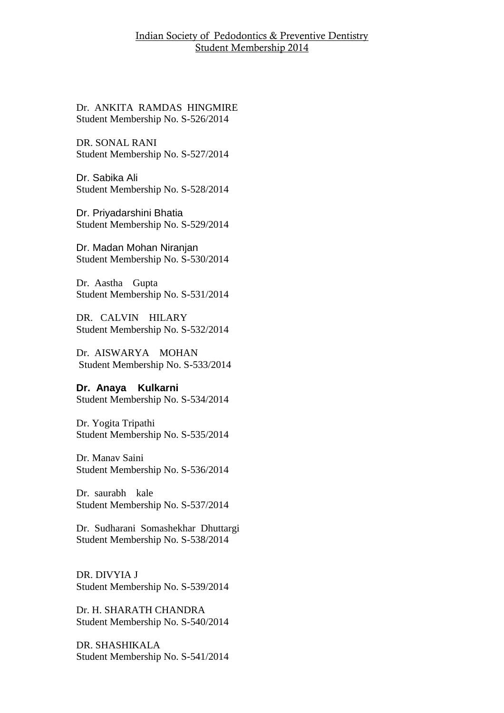Dr. ANKITA RAMDAS HINGMIRE Student Membership No. S-526/2014

DR. SONAL RANI Student Membership No. S-527/2014

Dr. Sabika Ali Student Membership No. S-528/2014

Dr. Priyadarshini Bhatia Student Membership No. S-529/2014

Dr. Madan Mohan Niranjan Student Membership No. S-530/2014

Dr. Aastha Gupta Student Membership No. S-531/2014

DR. CALVIN HILARY Student Membership No. S-532/2014

Dr. AISWARYA MOHAN Student Membership No. S-533/2014

**Dr. Anaya Kulkarni** Student Membership No. S-534/2014

Dr. Yogita Tripathi Student Membership No. S-535/2014

Dr. Manav Saini Student Membership No. S-536/2014

Dr. saurabh kale Student Membership No. S-537/2014

Dr. Sudharani Somashekhar Dhuttargi Student Membership No. S-538/2014

DR. DIVYIA J Student Membership No. S-539/2014

Dr. H. SHARATH CHANDRA Student Membership No. S-540/2014

DR. SHASHIKALA Student Membership No. S-541/2014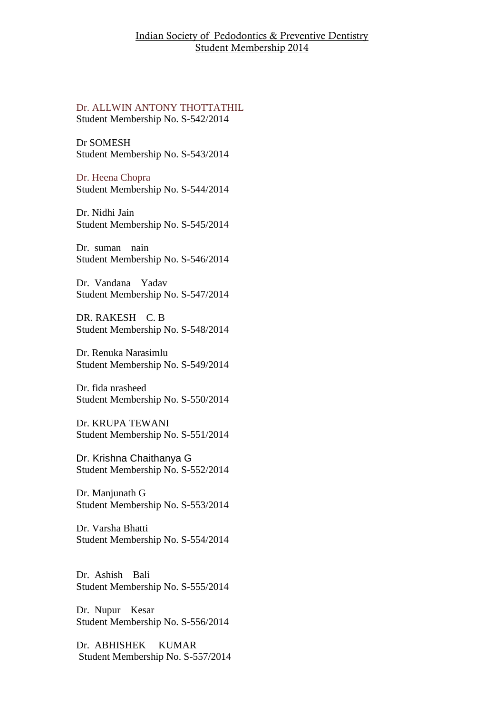Dr. ALLWIN ANTONY THOTTATHIL Student Membership No. S-542/2014

Dr SOMESH Student Membership No. S-543/2014

Dr. Heena Chopra Student Membership No. S-544/2014

Dr. Nidhi Jain Student Membership No. S-545/2014

Dr. suman nain Student Membership No. S-546/2014

Dr. Vandana Yadav Student Membership No. S-547/2014

DR. RAKESH C. B Student Membership No. S-548/2014

Dr. Renuka Narasimlu Student Membership No. S-549/2014

Dr. fida nrasheed Student Membership No. S-550/2014

Dr. KRUPA TEWANI Student Membership No. S-551/2014

Dr. Krishna Chaithanya G Student Membership No. S-552/2014

Dr. Manjunath G Student Membership No. S-553/2014

Dr. Varsha Bhatti Student Membership No. S-554/2014

Dr. Ashish Bali Student Membership No. S-555/2014

Dr. Nupur Kesar Student Membership No. S-556/2014

Dr. ABHISHEK KUMAR Student Membership No. S-557/2014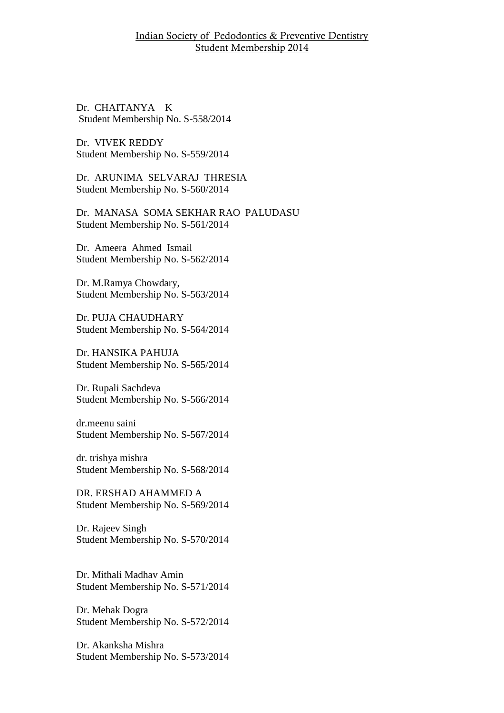Dr. CHAITANYA K Student Membership No. S-558/2014

Dr. VIVEK REDDY Student Membership No. S-559/2014

Dr. ARUNIMA SELVARAJ THRESIA Student Membership No. S-560/2014

Dr. MANASA SOMA SEKHAR RAO PALUDASU Student Membership No. S-561/2014

Dr. Ameera Ahmed Ismail Student Membership No. S-562/2014

Dr. M.Ramya Chowdary, Student Membership No. S-563/2014

Dr. PUJA CHAUDHARY Student Membership No. S-564/2014

Dr. HANSIKA PAHUJA Student Membership No. S-565/2014

Dr. Rupali Sachdeva Student Membership No. S-566/2014

dr.meenu saini Student Membership No. S-567/2014

dr. trishya mishra Student Membership No. S-568/2014

DR. ERSHAD AHAMMED A Student Membership No. S-569/2014

Dr. Rajeev Singh Student Membership No. S-570/2014

Dr. Mithali Madhav Amin Student Membership No. S-571/2014

Dr. Mehak Dogra Student Membership No. S-572/2014

Dr. Akanksha Mishra Student Membership No. S-573/2014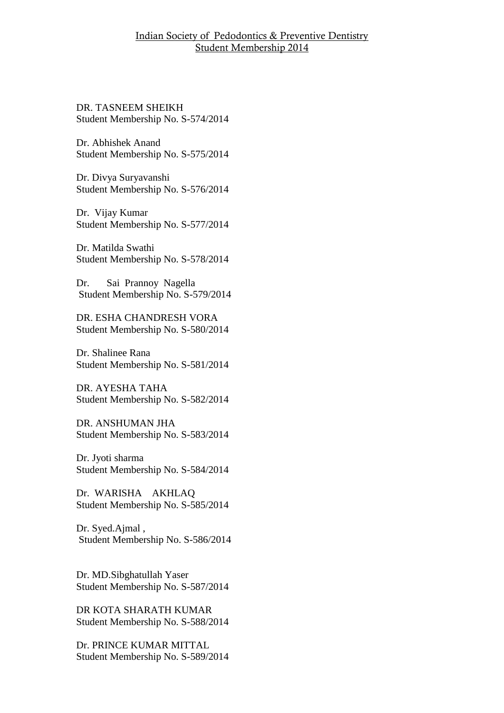DR. TASNEEM SHEIKH Student Membership No. S-574/2014

Dr. Abhishek Anand Student Membership No. S-575/2014

Dr. Divya Suryavanshi Student Membership No. S-576/2014

Dr. Vijay Kumar Student Membership No. S-577/2014

Dr. Matilda Swathi Student Membership No. S-578/2014

Dr. Sai Prannoy Nagella Student Membership No. S-579/2014

DR. ESHA CHANDRESH VORA Student Membership No. S-580/2014

Dr. Shalinee Rana Student Membership No. S-581/2014

DR. AYESHA TAHA Student Membership No. S-582/2014

DR. ANSHUMAN JHA Student Membership No. S-583/2014

Dr. Jyoti sharma Student Membership No. S-584/2014

Dr. WARISHA AKHLAQ Student Membership No. S-585/2014

Dr. Syed.Ajmal , Student Membership No. S-586/2014

Dr. MD.Sibghatullah Yaser Student Membership No. S-587/2014

DR KOTA SHARATH KUMAR Student Membership No. S-588/2014

Dr. PRINCE KUMAR MITTAL Student Membership No. S-589/2014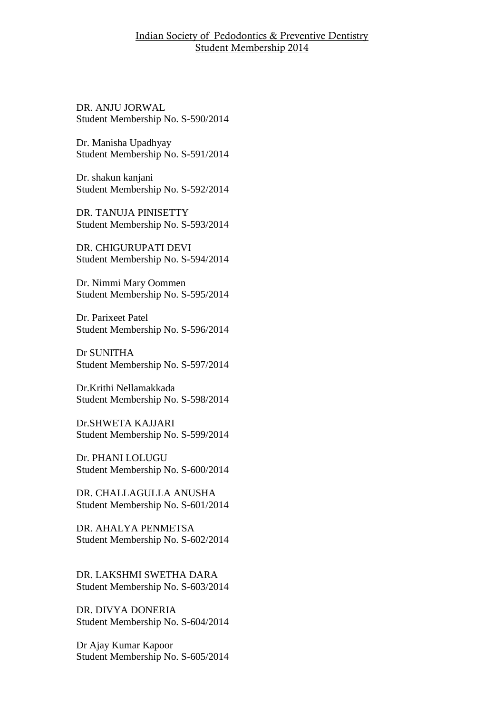DR. ANJU JORWAL Student Membership No. S-590/2014

Dr. Manisha Upadhyay Student Membership No. S-591/2014

Dr. shakun kanjani Student Membership No. S-592/2014

DR. TANUJA PINISETTY Student Membership No. S-593/2014

DR. CHIGURUPATI DEVI Student Membership No. S-594/2014

Dr. Nimmi Mary Oommen Student Membership No. S-595/2014

Dr. Parixeet Patel Student Membership No. S-596/2014

Dr SUNITHA Student Membership No. S-597/2014

Dr.Krithi Nellamakkada Student Membership No. S-598/2014

Dr.SHWETA KAJJARI Student Membership No. S-599/2014

Dr. PHANI LOLUGU Student Membership No. S-600/2014

DR. CHALLAGULLA ANUSHA Student Membership No. S-601/2014

DR. AHALYA PENMETSA Student Membership No. S-602/2014

DR. LAKSHMI SWETHA DARA Student Membership No. S-603/2014

DR. DIVYA DONERIA Student Membership No. S-604/2014

Dr Ajay Kumar Kapoor Student Membership No. S-605/2014